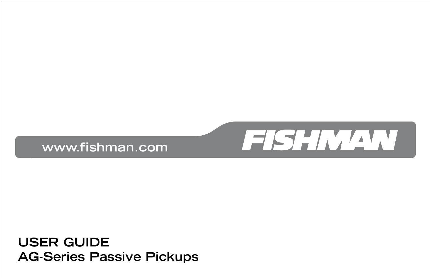

**USER GUIDE AG-Series Passive Pickups**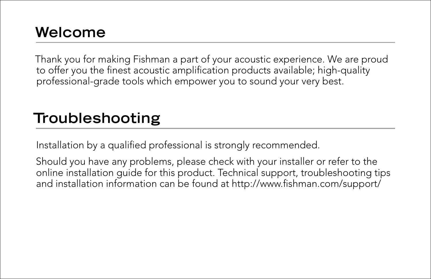## Welcome **Welcome**

Thank you for making Fishman a part of your acoustic experience. We are proud to offer you the finest acoustic amplification products available; high-quality professional-grade tools which empower you to sound your very best.

## Troubleshooting **Troubleshooting**

Installation by a qualified professional is strongly recommended.

Should you have any problems, please check with your installer or refer to the online installation guide for this product. Technical support, troubleshooting tips and installation information can be found at http://www.fishman.com/support/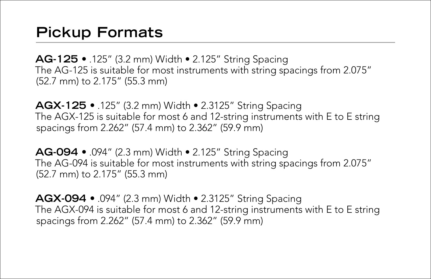## **Pickup Formats**

**AG-125 •** .125" (3.2 mm) Width • 2.125" String Spacing The AG-125 is suitable for most instruments with string spacings from 2.075" (52.7 mm) to 2.175" (55.3 mm)

**AGX-125 •** .125" (3.2 mm) Width • 2.3125" String Spacing The AGX-125 is suitable for most 6 and 12-string instruments with E to E string spacings from 2.262" (57.4 mm) to 2.362" (59.9 mm)

**AG-094 •** .094" (2.3 mm) Width • 2.125" String Spacing The AG-094 is suitable for most instruments with string spacings from 2.075" (52.7 mm) to 2.175" (55.3 mm)

**AGX-094 •** .094" (2.3 mm) Width • 2.3125" String Spacing The AGX-094 is suitable for most 6 and 12-string instruments with E to E string spacings from 2.262" (57.4 mm) to 2.362" (59.9 mm)